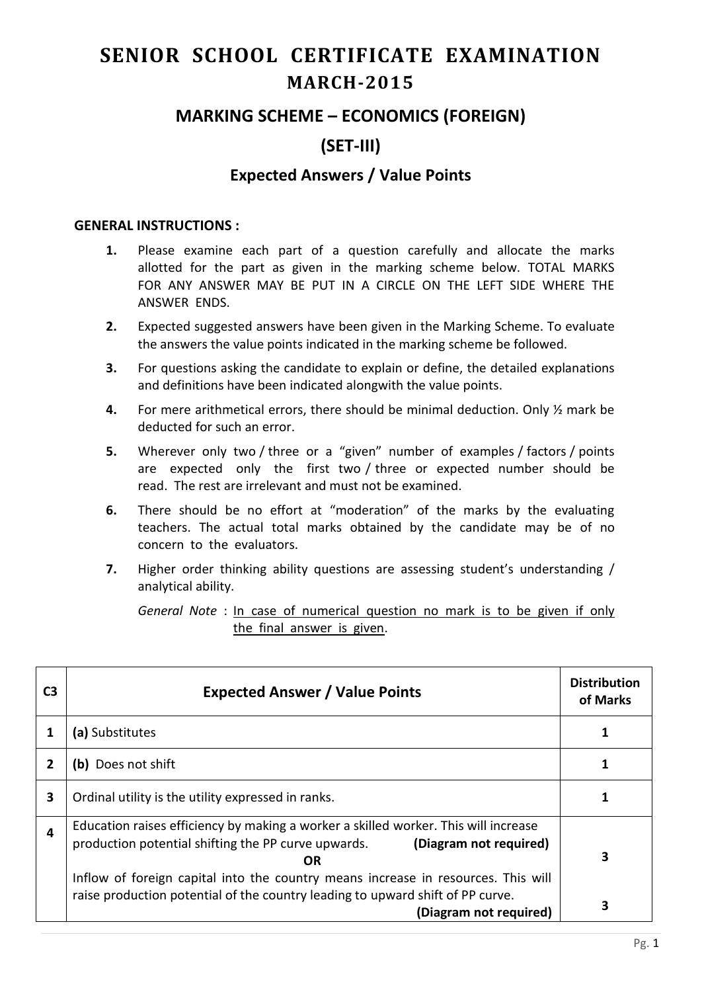# **SENIOR SCHOOL CERTIFICATE EXAMINATION MARCH-2015**

## **MARKING SCHEME – ECONOMICS (FOREIGN)**

# **(SET-III)**

## **Expected Answers / Value Points**

#### **GENERAL INSTRUCTIONS :**

- **1.** Please examine each part of a question carefully and allocate the marks allotted for the part as given in the marking scheme below. TOTAL MARKS FOR ANY ANSWER MAY BE PUT IN A CIRCLE ON THE LEFT SIDE WHERE THE ANSWER ENDS.
- **2.** Expected suggested answers have been given in the Marking Scheme. To evaluate the answers the value points indicated in the marking scheme be followed.
- **3.** For questions asking the candidate to explain or define, the detailed explanations and definitions have been indicated alongwith the value points.
- **4.** For mere arithmetical errors, there should be minimal deduction. Only ½ mark be deducted for such an error.
- **5.** Wherever only two / three or a "given" number of examples / factors / points are expected only the first two / three or expected number should be read. The rest are irrelevant and must not be examined.
- **6.** There should be no effort at "moderation" of the marks by the evaluating teachers. The actual total marks obtained by the candidate may be of no concern to the evaluators.
- **7.** Higher order thinking ability questions are assessing student's understanding / analytical ability.

*General Note* : In case of numerical question no mark is to be given if only the final answer is given.

| C <sub>3</sub> | <b>Expected Answer / Value Points</b>                                                                                                                                                         | <b>Distribution</b><br>of Marks |
|----------------|-----------------------------------------------------------------------------------------------------------------------------------------------------------------------------------------------|---------------------------------|
|                | (a) Substitutes                                                                                                                                                                               |                                 |
| $\overline{2}$ | (b) Does not shift                                                                                                                                                                            |                                 |
| 3              | Ordinal utility is the utility expressed in ranks.                                                                                                                                            |                                 |
| 4              | Education raises efficiency by making a worker a skilled worker. This will increase<br>production potential shifting the PP curve upwards.<br>(Diagram not required)<br><b>OR</b>             | 3                               |
|                | Inflow of foreign capital into the country means increase in resources. This will<br>raise production potential of the country leading to upward shift of PP curve.<br>(Diagram not required) | З                               |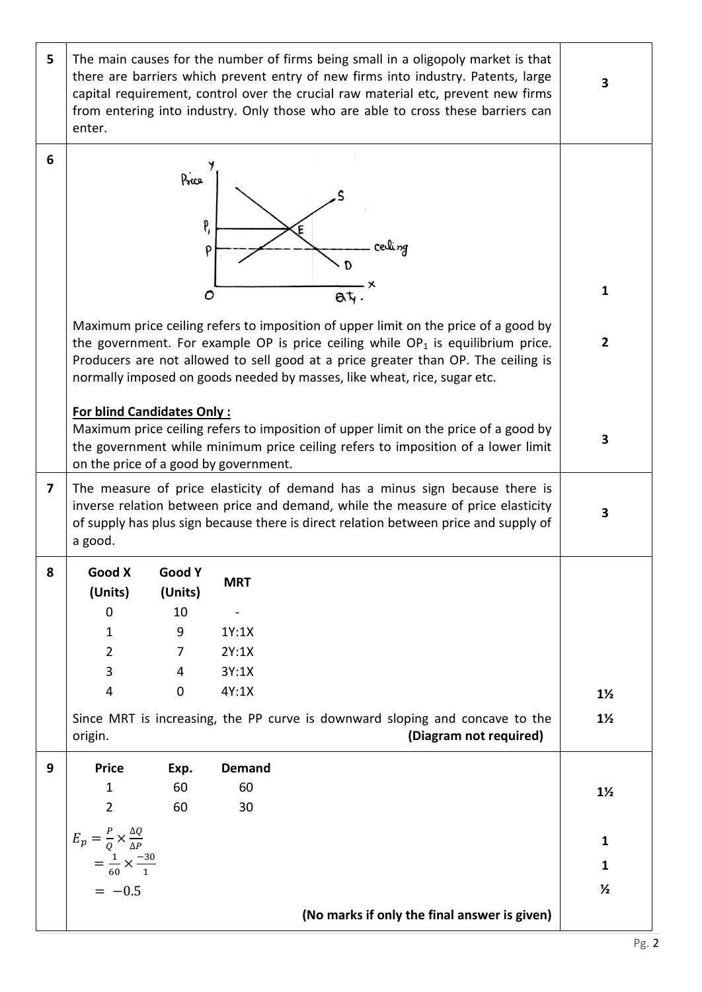| 5 | The main causes for the number of firms being small in a oligopoly market is that<br>there are barriers which prevent entry of new firms into industry. Patents, large<br>capital requirement, control over the crucial raw material etc, prevent new firms<br>from entering into industry. Only those who are able to cross these barriers can<br>enter. |                  |               |                                                                                                                                                                                                                                                         | 3              |
|---|-----------------------------------------------------------------------------------------------------------------------------------------------------------------------------------------------------------------------------------------------------------------------------------------------------------------------------------------------------------|------------------|---------------|---------------------------------------------------------------------------------------------------------------------------------------------------------------------------------------------------------------------------------------------------------|----------------|
| 6 |                                                                                                                                                                                                                                                                                                                                                           | Price<br>P,<br>P |               | E<br>cevli <i>ng</i>                                                                                                                                                                                                                                    |                |
|   |                                                                                                                                                                                                                                                                                                                                                           |                  |               |                                                                                                                                                                                                                                                         |                |
|   |                                                                                                                                                                                                                                                                                                                                                           | O                |               | at                                                                                                                                                                                                                                                      | 1              |
|   | Maximum price ceiling refers to imposition of upper limit on the price of a good by<br>the government. For example OP is price ceiling while $OP_1$ is equilibrium price.<br>Producers are not allowed to sell good at a price greater than OP. The ceiling is<br>normally imposed on goods needed by masses, like wheat, rice, sugar etc.                |                  |               |                                                                                                                                                                                                                                                         |                |
|   | <b>For blind Candidates Only:</b><br>on the price of a good by government.                                                                                                                                                                                                                                                                                |                  |               | Maximum price ceiling refers to imposition of upper limit on the price of a good by<br>the government while minimum price ceiling refers to imposition of a lower limit                                                                                 | 3              |
| 7 | a good.                                                                                                                                                                                                                                                                                                                                                   |                  |               | The measure of price elasticity of demand has a minus sign because there is<br>inverse relation between price and demand, while the measure of price elasticity<br>of supply has plus sign because there is direct relation between price and supply of | 3              |
|   | Good X                                                                                                                                                                                                                                                                                                                                                    | Good Y           | <b>MRT</b>    |                                                                                                                                                                                                                                                         |                |
|   | (Units)                                                                                                                                                                                                                                                                                                                                                   | (Units)          |               |                                                                                                                                                                                                                                                         |                |
|   | 0<br>1                                                                                                                                                                                                                                                                                                                                                    | 10<br>9          | 1Y:1X         |                                                                                                                                                                                                                                                         |                |
|   | $\overline{2}$                                                                                                                                                                                                                                                                                                                                            | 7                | 2Y:1X         |                                                                                                                                                                                                                                                         |                |
|   | 3                                                                                                                                                                                                                                                                                                                                                         | 4                | 3Y:1X         |                                                                                                                                                                                                                                                         |                |
|   | 4                                                                                                                                                                                                                                                                                                                                                         | 0                | 4Y:1X         |                                                                                                                                                                                                                                                         | $1\frac{1}{2}$ |
|   | origin.                                                                                                                                                                                                                                                                                                                                                   |                  |               | Since MRT is increasing, the PP curve is downward sloping and concave to the<br>(Diagram not required)                                                                                                                                                  | $1\frac{1}{2}$ |
| 9 | <b>Price</b>                                                                                                                                                                                                                                                                                                                                              | Exp.             | <b>Demand</b> |                                                                                                                                                                                                                                                         |                |
|   | 1                                                                                                                                                                                                                                                                                                                                                         | 60               | 60            |                                                                                                                                                                                                                                                         | $1\frac{1}{2}$ |
|   | $\overline{2}$                                                                                                                                                                                                                                                                                                                                            | 60               | 30            |                                                                                                                                                                                                                                                         |                |
|   | $E_p = \frac{P}{Q} \times \frac{\Delta Q}{\Delta P}$<br>= $\frac{1}{60} \times \frac{-30}{1}$                                                                                                                                                                                                                                                             |                  |               |                                                                                                                                                                                                                                                         | 1<br>1         |
|   | $= -0.5$                                                                                                                                                                                                                                                                                                                                                  |                  |               |                                                                                                                                                                                                                                                         | $\frac{1}{2}$  |
|   |                                                                                                                                                                                                                                                                                                                                                           |                  |               | (No marks if only the final answer is given)                                                                                                                                                                                                            |                |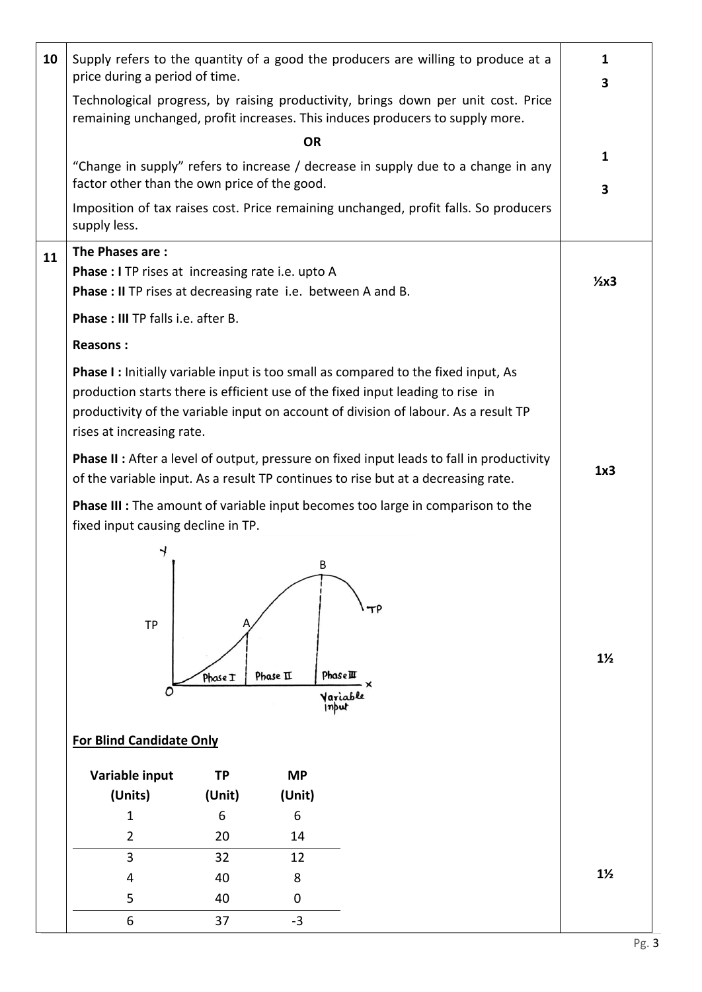| 10 | Supply refers to the quantity of a good the producers are willing to produce at a<br>price during a period of time.                                                                                                                                                                            |                                                                                   |           |                                                        | 1<br>3         |
|----|------------------------------------------------------------------------------------------------------------------------------------------------------------------------------------------------------------------------------------------------------------------------------------------------|-----------------------------------------------------------------------------------|-----------|--------------------------------------------------------|----------------|
|    | Technological progress, by raising productivity, brings down per unit cost. Price<br>remaining unchanged, profit increases. This induces producers to supply more.                                                                                                                             |                                                                                   |           |                                                        |                |
|    |                                                                                                                                                                                                                                                                                                |                                                                                   | <b>OR</b> |                                                        |                |
|    | factor other than the own price of the good.                                                                                                                                                                                                                                                   | "Change in supply" refers to increase / decrease in supply due to a change in any | 1<br>3    |                                                        |                |
|    | Imposition of tax raises cost. Price remaining unchanged, profit falls. So producers<br>supply less.                                                                                                                                                                                           |                                                                                   |           |                                                        |                |
| 11 | The Phases are:<br><b>Phase : I</b> TP rises at increasing rate i.e. upto A<br>Phase: II TP rises at decreasing rate i.e. between A and B.                                                                                                                                                     |                                                                                   |           |                                                        | $2x3$          |
|    | Phase: III TP falls i.e. after B.                                                                                                                                                                                                                                                              |                                                                                   |           |                                                        |                |
|    | <b>Reasons:</b>                                                                                                                                                                                                                                                                                |                                                                                   |           |                                                        |                |
|    | <b>Phase I:</b> Initially variable input is too small as compared to the fixed input, As<br>production starts there is efficient use of the fixed input leading to rise in<br>productivity of the variable input on account of division of labour. As a result TP<br>rises at increasing rate. |                                                                                   |           |                                                        |                |
|    | <b>Phase II:</b> After a level of output, pressure on fixed input leads to fall in productivity<br>of the variable input. As a result TP continues to rise but at a decreasing rate.                                                                                                           |                                                                                   |           |                                                        | 1x3            |
|    | <b>Phase III :</b> The amount of variable input becomes too large in comparison to the<br>fixed input causing decline in TP.                                                                                                                                                                   |                                                                                   |           |                                                        |                |
|    | <b>TP</b><br>O                                                                                                                                                                                                                                                                                 | Phase I                                                                           | Phase II  | B<br>TP<br><b>Phase</b> III<br>۰×<br>Variable<br>input | $1\frac{1}{2}$ |
|    | <b>For Blind Candidate Only</b>                                                                                                                                                                                                                                                                |                                                                                   |           |                                                        |                |
|    | Variable input                                                                                                                                                                                                                                                                                 | <b>TP</b>                                                                         | <b>MP</b> |                                                        |                |
|    | (Units)                                                                                                                                                                                                                                                                                        | (Unit)                                                                            | (Unit)    |                                                        |                |
|    | 1                                                                                                                                                                                                                                                                                              | 6                                                                                 | 6         |                                                        |                |
|    | $\overline{2}$                                                                                                                                                                                                                                                                                 | 20                                                                                | 14        |                                                        |                |
|    | 3                                                                                                                                                                                                                                                                                              | 32                                                                                | 12        |                                                        |                |
|    | 4                                                                                                                                                                                                                                                                                              | 40                                                                                | 8         |                                                        | $1\frac{1}{2}$ |
|    | 5                                                                                                                                                                                                                                                                                              | 40                                                                                | 0         |                                                        |                |
|    | 6                                                                                                                                                                                                                                                                                              |                                                                                   | $-3$      |                                                        |                |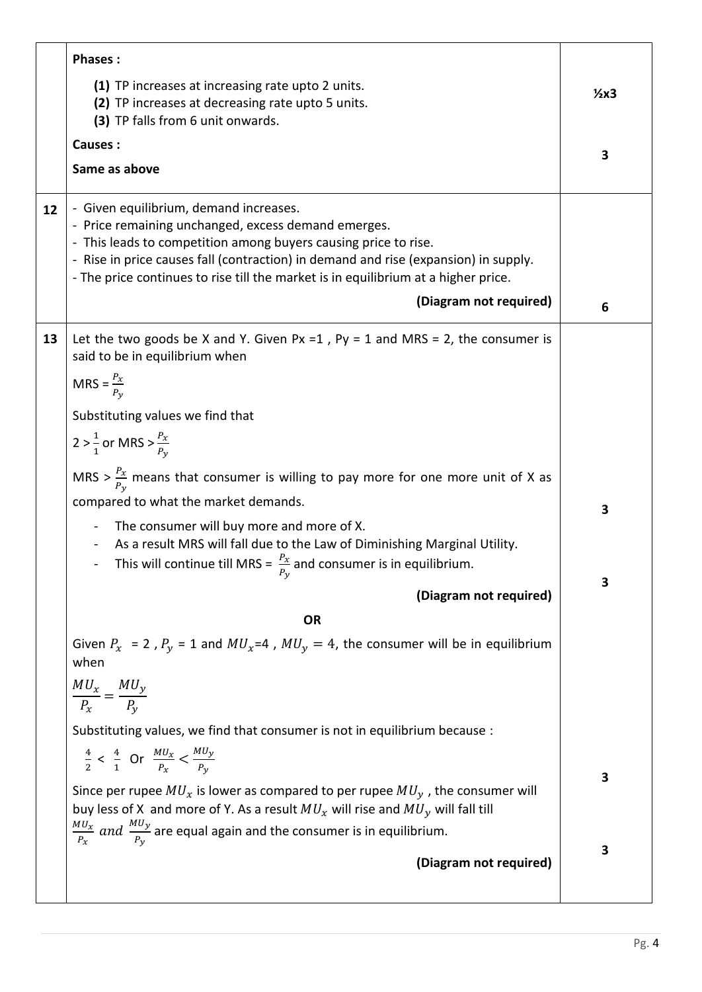|    | <b>Phases:</b>                                                                                                                                                                                                                                                                                                                                                                                                                                                                                                                                                                                                               |        |
|----|------------------------------------------------------------------------------------------------------------------------------------------------------------------------------------------------------------------------------------------------------------------------------------------------------------------------------------------------------------------------------------------------------------------------------------------------------------------------------------------------------------------------------------------------------------------------------------------------------------------------------|--------|
|    | (1) TP increases at increasing rate upto 2 units.<br>(2) TP increases at decreasing rate upto 5 units.<br>(3) TP falls from 6 unit onwards.                                                                                                                                                                                                                                                                                                                                                                                                                                                                                  | $2x3$  |
|    | Causes:                                                                                                                                                                                                                                                                                                                                                                                                                                                                                                                                                                                                                      | 3      |
|    | Same as above                                                                                                                                                                                                                                                                                                                                                                                                                                                                                                                                                                                                                |        |
| 12 | - Given equilibrium, demand increases.<br>- Price remaining unchanged, excess demand emerges.<br>- This leads to competition among buyers causing price to rise.<br>- Rise in price causes fall (contraction) in demand and rise (expansion) in supply.<br>- The price continues to rise till the market is in equilibrium at a higher price.                                                                                                                                                                                                                                                                                |        |
|    | (Diagram not required)                                                                                                                                                                                                                                                                                                                                                                                                                                                                                                                                                                                                       | 6      |
| 13 | Let the two goods be X and Y. Given Px = 1, Py = 1 and MRS = 2, the consumer is<br>said to be in equilibrium when<br>MRS = $\frac{P_x}{P_y}$<br>Substituting values we find that<br>2 > $\frac{1}{1}$ or MRS > $\frac{P_x}{P_y}$<br>MRS > $\frac{P_X}{P_V}$ means that consumer is willing to pay more for one more unit of X as<br>compared to what the market demands.<br>The consumer will buy more and more of X.<br>As a result MRS will fall due to the Law of Diminishing Marginal Utility.<br>This will continue till MRS = $\frac{P_X}{P}$ and consumer is in equilibrium.<br>$P_y$                                 | 3      |
|    | (Diagram not required)                                                                                                                                                                                                                                                                                                                                                                                                                                                                                                                                                                                                       | 3      |
|    | <b>OR</b><br>Given $P_x$ = 2, $P_y$ = 1 and $MU_x$ =4, $MU_y$ = 4, the consumer will be in equilibrium<br>when<br>$\frac{MU_x}{P_x} = \frac{MU_y}{P_y}$<br>Substituting values, we find that consumer is not in equilibrium because :<br>$\frac{4}{2}$ < $\frac{4}{1}$ Or $\frac{MU_x}{P_x}$ < $\frac{MU_y}{P_y}$<br>Since per rupee $MU_x$ is lower as compared to per rupee $MU_y$ , the consumer will<br>buy less of X and more of Y. As a result $MU_x$ will rise and $MU_y$ will fall till<br>$\frac{M U_x}{P_x}$ and $\frac{M U_y}{P_y}$ are equal again and the consumer is in equilibrium.<br>(Diagram not required) | 3<br>3 |
|    |                                                                                                                                                                                                                                                                                                                                                                                                                                                                                                                                                                                                                              |        |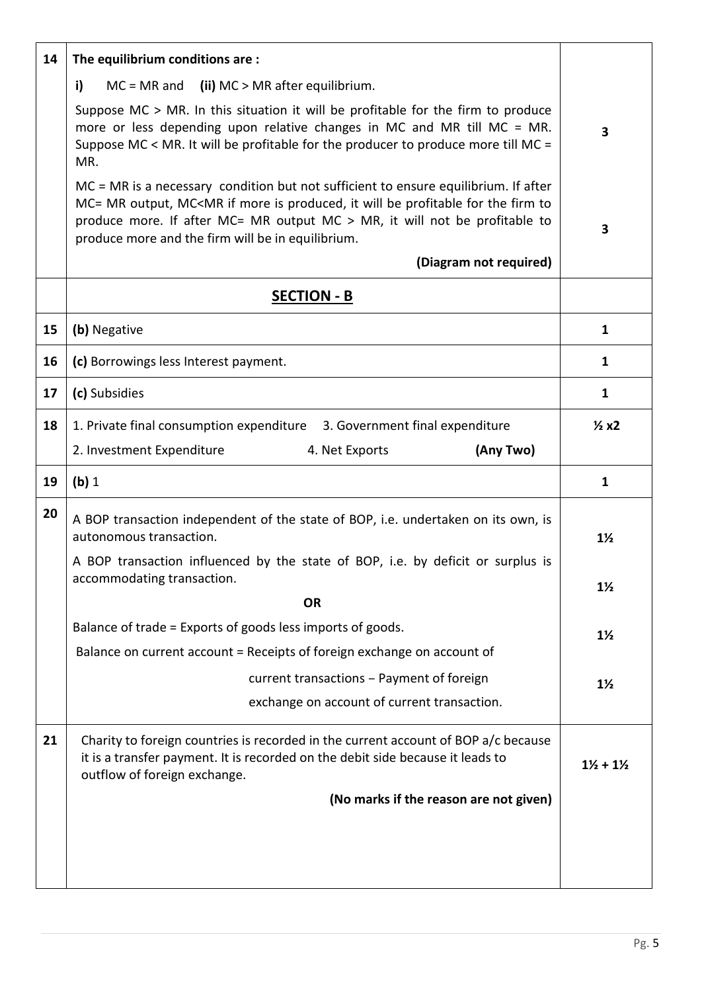| 14 | The equilibrium conditions are:                                                                                                                                                                                                                                                                                                                           |                                 |
|----|-----------------------------------------------------------------------------------------------------------------------------------------------------------------------------------------------------------------------------------------------------------------------------------------------------------------------------------------------------------|---------------------------------|
|    | i)<br>$MC = MR$ and (ii) $MC > MR$ after equilibrium.                                                                                                                                                                                                                                                                                                     |                                 |
|    | Suppose MC > MR. In this situation it will be profitable for the firm to produce<br>more or less depending upon relative changes in MC and MR till MC = MR.<br>Suppose MC < MR. It will be profitable for the producer to produce more till MC =<br>MR.                                                                                                   | 3                               |
|    | $MC = MR$ is a necessary condition but not sufficient to ensure equilibrium. If after<br>MC= MR output, MC <mr be="" firm="" for="" if="" is="" it="" more="" produced,="" profitable="" the="" to<br="" will="">produce more. If after MC= MR output MC &gt; MR, it will not be profitable to<br/>produce more and the firm will be in equilibrium.</mr> | 3                               |
|    | (Diagram not required)                                                                                                                                                                                                                                                                                                                                    |                                 |
|    | <b>SECTION - B</b>                                                                                                                                                                                                                                                                                                                                        |                                 |
| 15 | (b) Negative                                                                                                                                                                                                                                                                                                                                              | $\mathbf{1}$                    |
| 16 | (c) Borrowings less Interest payment.                                                                                                                                                                                                                                                                                                                     | 1                               |
| 17 | (c) Subsidies                                                                                                                                                                                                                                                                                                                                             | $\mathbf{1}$                    |
| 18 | 1. Private final consumption expenditure 3. Government final expenditure                                                                                                                                                                                                                                                                                  | $\frac{1}{2}x2$                 |
|    | 2. Investment Expenditure<br>(Any Two)<br>4. Net Exports                                                                                                                                                                                                                                                                                                  |                                 |
|    |                                                                                                                                                                                                                                                                                                                                                           |                                 |
| 19 | (b) 1                                                                                                                                                                                                                                                                                                                                                     | $\mathbf{1}$                    |
| 20 | A BOP transaction independent of the state of BOP, i.e. undertaken on its own, is<br>autonomous transaction.                                                                                                                                                                                                                                              | $1\frac{1}{2}$                  |
|    | A BOP transaction influenced by the state of BOP, i.e. by deficit or surplus is<br>accommodating transaction.                                                                                                                                                                                                                                             | $1\frac{1}{2}$                  |
|    | <b>OR</b>                                                                                                                                                                                                                                                                                                                                                 |                                 |
|    | Balance of trade = Exports of goods less imports of goods.                                                                                                                                                                                                                                                                                                | $1\frac{1}{2}$                  |
|    | Balance on current account = Receipts of foreign exchange on account of                                                                                                                                                                                                                                                                                   |                                 |
|    | current transactions - Payment of foreign                                                                                                                                                                                                                                                                                                                 | $1\frac{1}{2}$                  |
|    | exchange on account of current transaction.                                                                                                                                                                                                                                                                                                               |                                 |
| 21 | Charity to foreign countries is recorded in the current account of BOP a/c because<br>it is a transfer payment. It is recorded on the debit side because it leads to<br>outflow of foreign exchange.                                                                                                                                                      | $1\frac{1}{2}$ + $1\frac{1}{2}$ |
|    | (No marks if the reason are not given)                                                                                                                                                                                                                                                                                                                    |                                 |
|    |                                                                                                                                                                                                                                                                                                                                                           |                                 |
|    |                                                                                                                                                                                                                                                                                                                                                           |                                 |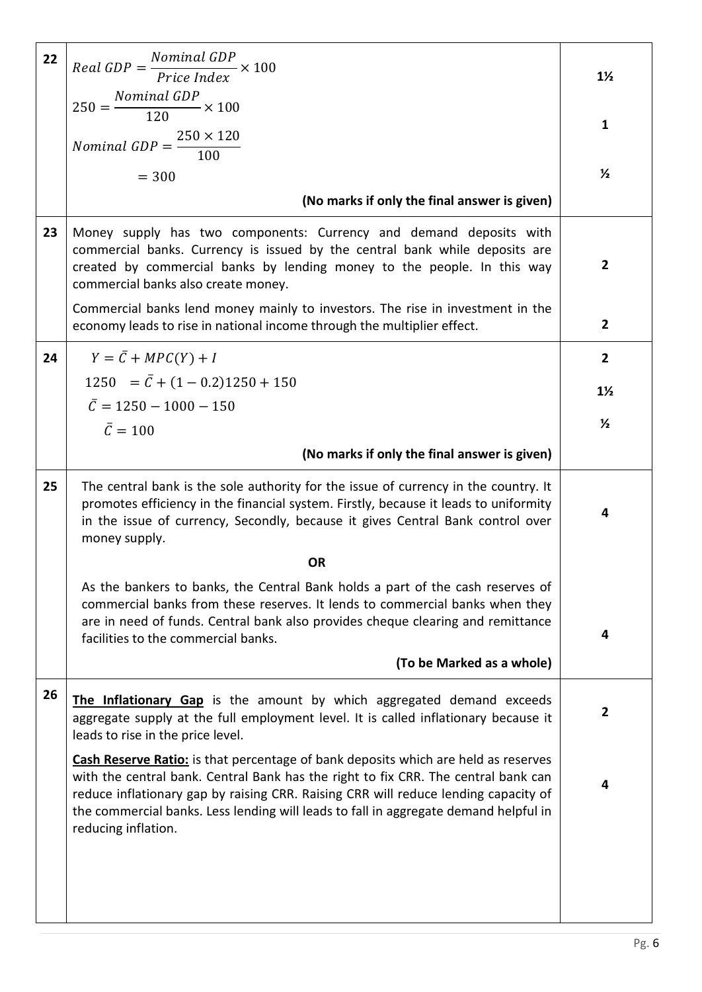| 22 | $Real GDP = \frac{Nominal GDP}{Price Index} \times 100$                                                                                                                                                                                                                                                                                                                               | $1\frac{1}{2}$ |
|----|---------------------------------------------------------------------------------------------------------------------------------------------------------------------------------------------------------------------------------------------------------------------------------------------------------------------------------------------------------------------------------------|----------------|
|    | $250 = \frac{Nominal GDP}{120} \times 100$                                                                                                                                                                                                                                                                                                                                            |                |
|    |                                                                                                                                                                                                                                                                                                                                                                                       | $\mathbf{1}$   |
|    | <i>Nominal GDP</i> = $\frac{250 \times 120}{100}$                                                                                                                                                                                                                                                                                                                                     |                |
|    | $= 300$                                                                                                                                                                                                                                                                                                                                                                               | $\frac{1}{2}$  |
|    | (No marks if only the final answer is given)                                                                                                                                                                                                                                                                                                                                          |                |
| 23 | Money supply has two components: Currency and demand deposits with<br>commercial banks. Currency is issued by the central bank while deposits are<br>created by commercial banks by lending money to the people. In this way<br>commercial banks also create money.                                                                                                                   | $\overline{2}$ |
|    | Commercial banks lend money mainly to investors. The rise in investment in the<br>economy leads to rise in national income through the multiplier effect.                                                                                                                                                                                                                             | $\mathbf{2}$   |
| 24 | $Y = \overline{C} + MPC(Y) + I$                                                                                                                                                                                                                                                                                                                                                       | $\overline{2}$ |
|    | $1250 = \bar{C} + (1 - 0.2)1250 + 150$                                                                                                                                                                                                                                                                                                                                                | $1\frac{1}{2}$ |
|    | $\overline{C} = 1250 - 1000 - 150$                                                                                                                                                                                                                                                                                                                                                    |                |
|    | $\bar{C} = 100$                                                                                                                                                                                                                                                                                                                                                                       | $\frac{1}{2}$  |
|    | (No marks if only the final answer is given)                                                                                                                                                                                                                                                                                                                                          |                |
| 25 | The central bank is the sole authority for the issue of currency in the country. It<br>promotes efficiency in the financial system. Firstly, because it leads to uniformity<br>in the issue of currency, Secondly, because it gives Central Bank control over                                                                                                                         | 4              |
|    | money supply.                                                                                                                                                                                                                                                                                                                                                                         |                |
|    | <b>OR</b>                                                                                                                                                                                                                                                                                                                                                                             |                |
|    | As the bankers to banks, the Central Bank holds a part of the cash reserves of<br>commercial banks from these reserves. It lends to commercial banks when they<br>are in need of funds. Central bank also provides cheque clearing and remittance<br>facilities to the commercial banks.                                                                                              | 4              |
|    | (To be Marked as a whole)                                                                                                                                                                                                                                                                                                                                                             |                |
| 26 | The Inflationary Gap is the amount by which aggregated demand exceeds<br>aggregate supply at the full employment level. It is called inflationary because it<br>leads to rise in the price level.                                                                                                                                                                                     | $\mathbf{2}$   |
|    | <b>Cash Reserve Ratio:</b> is that percentage of bank deposits which are held as reserves<br>with the central bank. Central Bank has the right to fix CRR. The central bank can<br>reduce inflationary gap by raising CRR. Raising CRR will reduce lending capacity of<br>the commercial banks. Less lending will leads to fall in aggregate demand helpful in<br>reducing inflation. | 4              |